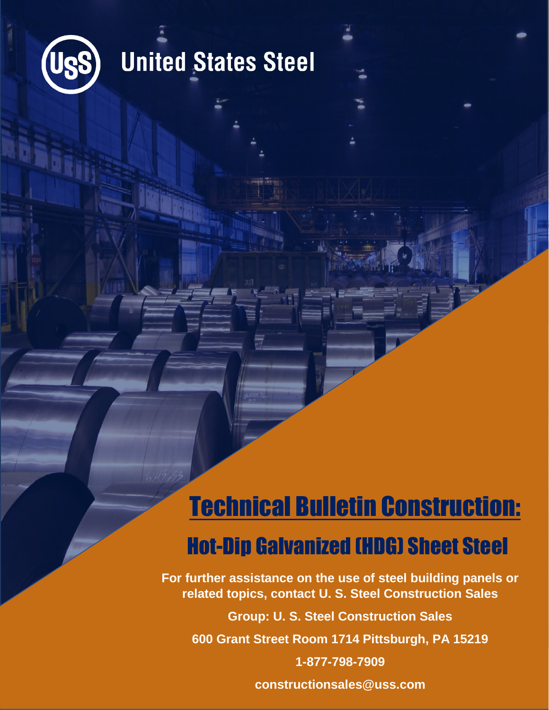

## **United States Steel**

### Technical Bulletin Construction: Hot-Dip Galvanized (HDG) Sheet Steel

**For further assistance on the use of steel building panels or related topics, contact U. S. Steel Construction Sales**

**Group: U. S. Steel Construction Sales 600 Grant Street Room 1714 Pittsburgh, PA 15219 1-877-798-7909 constructionsales@uss.com**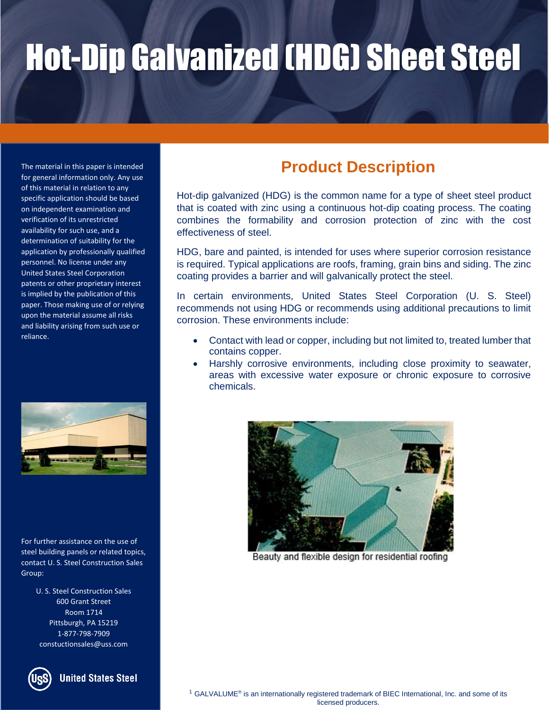The material in this paper is intended for general information only. Any use of this material in relation to any specific application should be based on independent examination and verification of its unrestricted availability for such use, and a determination of suitability for the application by professionally qualified personnel. No license under any United States Steel Corporation patents or other proprietary interest is implied by the publication of this paper. Those making use of or relying upon the material assume all risks and liability arising from such use or reliance.



For further assistance on the use of steel building panels or related topics, contact U. S. Steel Construction Sales Group:

> U. S. Steel Construction Sales 600 Grant Street Room 1714 Pittsburgh, PA 15219 1-877-798-7909 constuctionsales@uss.com



**United States Steel** 

### **Product Description**

Hot-dip galvanized (HDG) is the common name for a type of sheet steel product that is coated with zinc using a continuous hot-dip coating process. The coating combines the formability and corrosion protection of zinc with the cost effectiveness of steel.

HDG, bare and painted, is intended for uses where superior corrosion resistance is required. Typical applications are roofs, framing, grain bins and siding. The zinc coating provides a barrier and will galvanically protect the steel.

In certain environments, United States Steel Corporation (U. S. Steel) recommends not using HDG or recommends using additional precautions to limit corrosion. These environments include:

- Contact with lead or copper, including but not limited to, treated lumber that contains copper.
- Harshly corrosive environments, including close proximity to seawater, areas with excessive water exposure or chronic exposure to corrosive chemicals.



Beauty and flexible design for residential roofing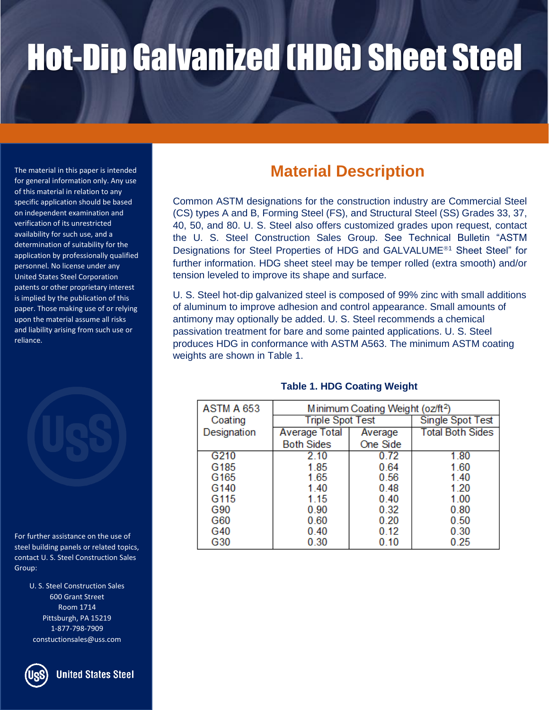of this material in relation to any specific application should be based on independent examination and verification of its unrestricted availability for such use, and a determination of suitability for the application by professionally qualified personnel. No license under any United States Steel Corporation patents or other proprietary interest is implied by the publication of this paper. Those making use of or relying upon the material assume all risks and liability arising from such use or reliance.



For further assistance on the use of steel building panels or related topics, contact U. S. Steel Construction Sales Group:

> U. S. Steel Construction Sales 600 Grant Street Room 1714 Pittsburgh, PA 15219 1-877-798-7909 constuctionsales@uss.com



### The material in this paper is intended **Material Description**<br>for general information only. Any use

Common ASTM designations for the construction industry are Commercial Steel (CS) types A and B, Forming Steel (FS), and Structural Steel (SS) Grades 33, 37, 40, 50, and 80. U. S. Steel also offers customized grades upon request, contact the U. S. Steel Construction Sales Group. See Technical Bulletin "ASTM Designations for Steel Properties of HDG and GALVALUME<sup>®1</sup> Sheet Steel" for further information. HDG sheet steel may be temper rolled (extra smooth) and/or tension leveled to improve its shape and surface.

U. S. Steel hot-dip galvanized steel is composed of 99% zinc with small additions of aluminum to improve adhesion and control appearance. Small amounts of antimony may optionally be added. U. S. Steel recommends a chemical passivation treatment for bare and some painted applications. U. S. Steel produces HDG in conformance with ASTM A563. The minimum ASTM coating weights are shown in Table 1.

| ASTM A 653       | Minimum Coating Weight (oz/ft <sup>2</sup> ) |          |                         |
|------------------|----------------------------------------------|----------|-------------------------|
| Coating          | <b>Triple Spot Test</b>                      |          | <b>Single Spot Test</b> |
| Designation      | <b>Average Total</b>                         | Average  | <b>Total Both Sides</b> |
|                  | <b>Both Sides</b>                            | One Side |                         |
| G210             | 2.10                                         | 0.72     | 1.80                    |
| G185             | 1.85                                         | 0.64     | 1.60                    |
| G <sub>165</sub> | 1.65                                         | 0.56     | 1.40                    |
| G140             | 1.40                                         | 0.48     | 1.20                    |
| G115             | 1.15                                         | 0.40     | 1.00                    |
| G90              | 0.90                                         | 0.32     | 0.80                    |
| G60              | 0.60                                         | 0.20     | 0.50                    |
| G40              | 0.40                                         | 0.12     | 0.30                    |
| G30              | 0.30                                         | 0.10     | 0.25                    |

### **Table 1. HDG Coating Weight**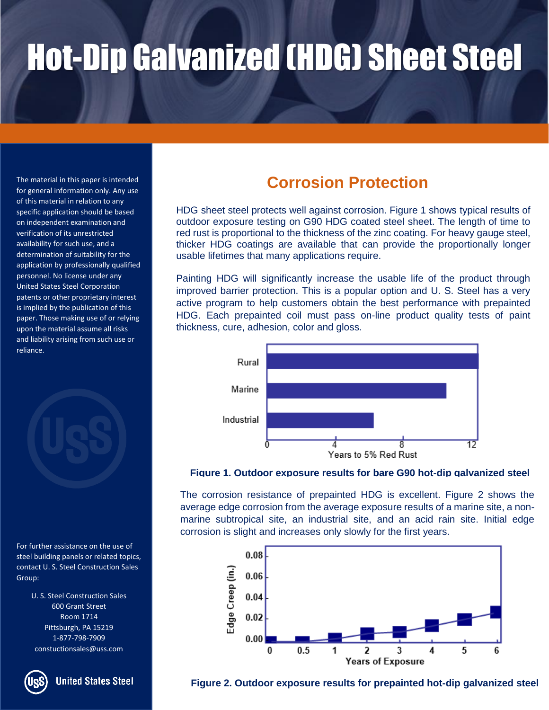The material in this paper is intended for general information only. Any use of this material in relation to any specific application should be based on independent examination and verification of its unrestricted availability for such use, and a determination of suitability for the application by professionally qualified personnel. No license under any United States Steel Corporation patents or other proprietary interest is implied by the publication of this paper. Those making use of or relying upon the material assume all risks and liability arising from such use or reliance.

For further assistance on the use of steel building panels or related topics, contact U. S. Steel Construction Sales Group:

> U. S. Steel Construction Sales 600 Grant Street Room 1714 Pittsburgh, PA 15219 1-877-798-7909 constuctionsales@uss.com

**United States Steel** 

### **Corrosion Protection**

HDG sheet steel protects well against corrosion. Figure 1 shows typical results of outdoor exposure testing on G90 HDG coated steel sheet. The length of time to red rust is proportional to the thickness of the zinc coating. For heavy gauge steel, thicker HDG coatings are available that can provide the proportionally longer usable lifetimes that many applications require.

Painting HDG will significantly increase the usable life of the product through improved barrier protection. This is a popular option and U. S. Steel has a very active program to help customers obtain the best performance with prepainted HDG. Each prepainted coil must pass on-line product quality tests of paint thickness, cure, adhesion, color and gloss.



### **Figure 1. Outdoor exposure results for bare G90 hot-dip galvanized steel**

The corrosion resistance of prepainted HDG is excellent. Figure 2 shows the average edge corrosion from the average exposure results of a marine site, a nonmarine subtropical site, an industrial site, and an acid rain site. Initial edge corrosion is slight and increases only slowly for the first years.



**Figure 2. Outdoor exposure results for prepainted hot-dip galvanized steel**